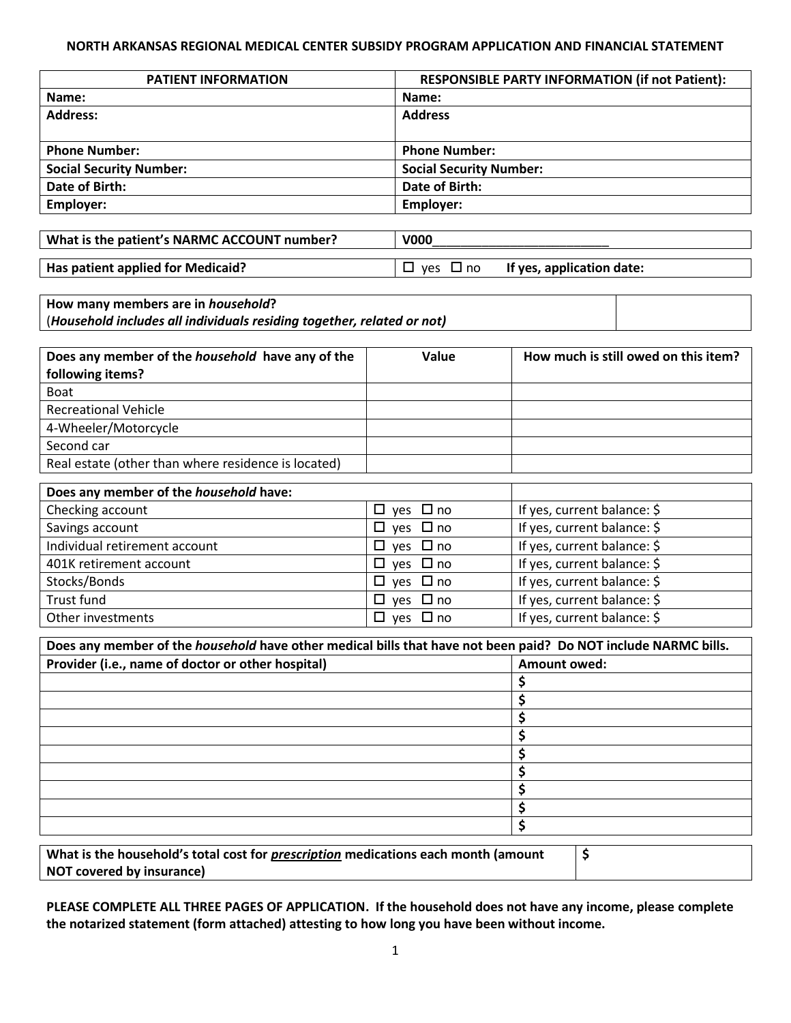## **NORTH ARKANSAS REGIONAL MEDICAL CENTER SUBSIDY PROGRAM APPLICATION AND FINANCIAL STATEMENT**

| <b>RESPONSIBLE PARTY INFORMATION (if not Patient):</b> |
|--------------------------------------------------------|
| Name:                                                  |
| <b>Address</b>                                         |
|                                                        |
| <b>Phone Number:</b>                                   |
| <b>Social Security Number:</b>                         |
| Date of Birth:                                         |
| Employer:                                              |
|                                                        |

| What is the patient's NARMC ACCOUNT number? | <b>V000</b>                |                           |  |
|---------------------------------------------|----------------------------|---------------------------|--|
|                                             |                            |                           |  |
| Has patient applied for Medicaid?           | $\mathsf{v}$ ves $\Box$ no | If yes, application date: |  |

**How many members are in** *household***?** (*Household includes all individuals residing together, related or not)*

| Does any member of the <i>household</i> have any of the | Value | How much is still owed on this item? |
|---------------------------------------------------------|-------|--------------------------------------|
| following items?                                        |       |                                      |
| <b>Boat</b>                                             |       |                                      |
| <b>Recreational Vehicle</b>                             |       |                                      |
| 4-Wheeler/Motorcycle                                    |       |                                      |
| Second car                                              |       |                                      |
| Real estate (other than where residence is located)     |       |                                      |

| Does any member of the household have: |                      |                                  |
|----------------------------------------|----------------------|----------------------------------|
| Checking account                       | $\Box$ yes $\Box$ no | If yes, current balance: $\oint$ |
| Savings account                        | yes $\Box$ no<br>□   | If yes, current balance: \$      |
| Individual retirement account          | yes □ no<br>□        | If yes, current balance: \$      |
| 401K retirement account                | $\Box$ yes $\Box$ no | If yes, current balance: \$      |
| Stocks/Bonds                           | yes □ no<br>0        | If yes, current balance: \$      |
| Trust fund                             | ves □ no<br>0        | If yes, current balance: \$      |
| Other investments                      | `yes □ no<br>□       | If yes, current balance: \$      |

| Does any member of the household have other medical bills that have not been paid? Do NOT include NARMC bills.                                                                                                                     |  |  |  |  |
|------------------------------------------------------------------------------------------------------------------------------------------------------------------------------------------------------------------------------------|--|--|--|--|
| Provider (i.e., name of doctor or other hospital)<br><b>Amount owed:</b>                                                                                                                                                           |  |  |  |  |
|                                                                                                                                                                                                                                    |  |  |  |  |
|                                                                                                                                                                                                                                    |  |  |  |  |
|                                                                                                                                                                                                                                    |  |  |  |  |
|                                                                                                                                                                                                                                    |  |  |  |  |
|                                                                                                                                                                                                                                    |  |  |  |  |
|                                                                                                                                                                                                                                    |  |  |  |  |
|                                                                                                                                                                                                                                    |  |  |  |  |
|                                                                                                                                                                                                                                    |  |  |  |  |
|                                                                                                                                                                                                                                    |  |  |  |  |
| $\mathcal{L}$ , and its contract that the contract of the contract of the contract of the contract of the contract of the contract of the contract of the contract of the contract of the contract of the contract of the contract |  |  |  |  |

**What is the household's total cost for** *prescription* **medications each month (amount NOT covered by insurance) \$**

**PLEASE COMPLETE ALL THREE PAGES OF APPLICATION. If the household does not have any income, please complete the notarized statement (form attached) attesting to how long you have been without income.**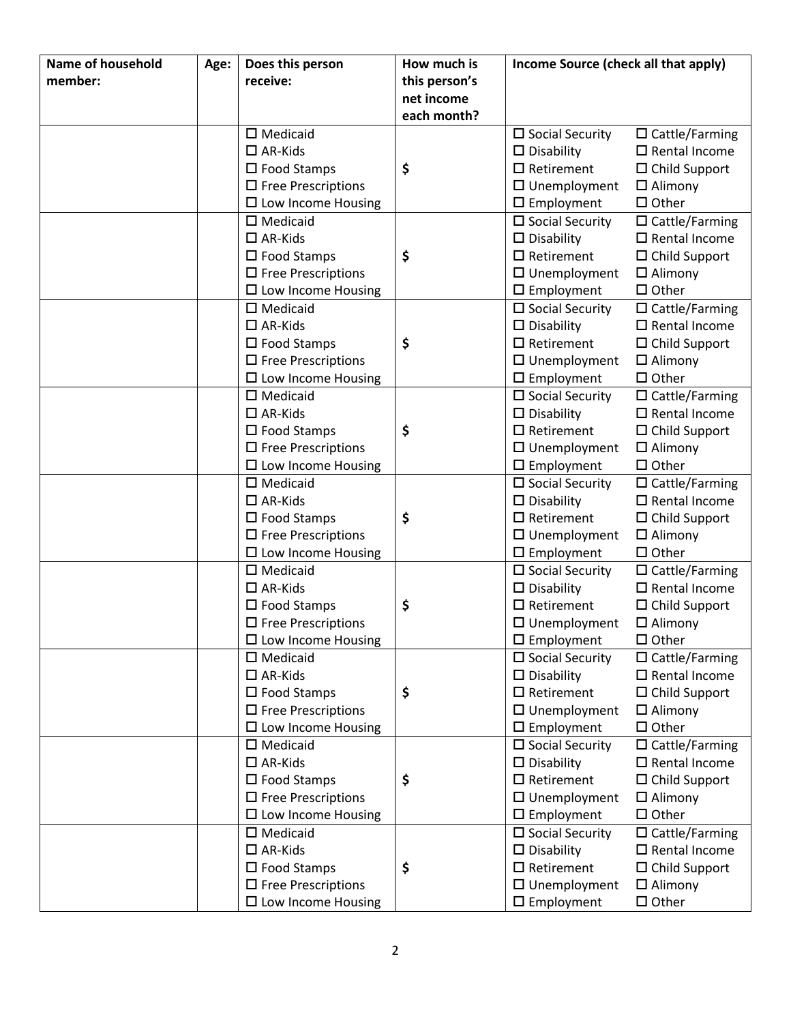| <b>Name of household</b> | Age: | Does this person             | How much is   | Income Source (check all that apply) |                          |
|--------------------------|------|------------------------------|---------------|--------------------------------------|--------------------------|
| member:                  |      | receive:                     | this person's |                                      |                          |
|                          |      |                              | net income    |                                      |                          |
|                          |      |                              | each month?   |                                      |                          |
|                          |      | $\square$ Medicaid           |               | $\square$ Social Security            | $\Box$ Cattle/Farming    |
|                          |      | $\square$ AR-Kids            |               | $\square$ Disability                 | $\square$ Rental Income  |
|                          |      | $\Box$ Food Stamps           | \$            | $\square$ Retirement                 | $\Box$ Child Support     |
|                          |      | $\square$ Free Prescriptions |               | $\Box$ Unemployment                  | $\Box$ Alimony           |
|                          |      | $\square$ Low Income Housing |               | $\square$ Employment                 | $\Box$ Other             |
|                          |      | $\square$ Medicaid           |               | $\square$ Social Security            | $\square$ Cattle/Farming |
|                          |      | $\square$ AR-Kids            |               | $\square$ Disability                 | $\Box$ Rental Income     |
|                          |      | $\square$ Food Stamps        | \$            | $\Box$ Retirement                    | $\Box$ Child Support     |
|                          |      | $\square$ Free Prescriptions |               | $\square$ Unemployment               | $\Box$ Alimony           |
|                          |      | $\square$ Low Income Housing |               | $\square$ Employment                 | $\Box$ Other             |
|                          |      | $\square$ Medicaid           |               | $\square$ Social Security            | $\Box$ Cattle/Farming    |
|                          |      | $\square$ AR-Kids            |               | $\square$ Disability                 | $\square$ Rental Income  |
|                          |      | $\square$ Food Stamps        | \$            | $\Box$ Retirement                    | $\Box$ Child Support     |
|                          |      | $\square$ Free Prescriptions |               | $\Box$ Unemployment                  | $\Box$ Alimony           |
|                          |      | $\square$ Low Income Housing |               | $\square$ Employment                 | $\Box$ Other             |
|                          |      | $\square$ Medicaid           |               | $\square$ Social Security            | $\Box$ Cattle/Farming    |
|                          |      | $\square$ AR-Kids            |               | $\square$ Disability                 | $\square$ Rental Income  |
|                          |      | $\Box$ Food Stamps           | \$            | $\Box$ Retirement                    | $\Box$ Child Support     |
|                          |      | $\square$ Free Prescriptions |               | $\Box$ Unemployment                  | $\Box$ Alimony           |
|                          |      | $\square$ Low Income Housing |               | $\square$ Employment                 | $\Box$ Other             |
|                          |      | $\square$ Medicaid           |               | $\square$ Social Security            | $\square$ Cattle/Farming |
|                          |      | $\square$ AR-Kids            |               | $\square$ Disability                 | $\Box$ Rental Income     |
|                          |      | $\square$ Food Stamps        | \$            | $\Box$ Retirement                    | $\Box$ Child Support     |
|                          |      | $\square$ Free Prescriptions |               | $\square$ Unemployment               | $\Box$ Alimony           |
|                          |      | $\square$ Low Income Housing |               | $\square$ Employment                 | $\Box$ Other             |
|                          |      | $\square$ Medicaid           |               | $\square$ Social Security            | $\square$ Cattle/Farming |
|                          |      | $\square$ AR-Kids            |               | $\square$ Disability                 | $\square$ Rental Income  |
|                          |      | $\square$ Food Stamps        | \$            | $\square$ Retirement                 | $\Box$ Child Support     |
|                          |      | $\square$ Free Prescriptions |               | $\Box$ Unemployment                  | $\Box$ Alimony           |
|                          |      | $\Box$ Low Income Housing    |               | $\square$ Employment                 | $\Box$ Other             |
|                          |      | $\square$ Medicaid           |               | $\square$ Social Security            | $\Box$ Cattle/Farming    |
|                          |      | $\Box$ AR-Kids               |               | $\Box$ Disability                    | $\square$ Rental Income  |
|                          |      | $\square$ Food Stamps        | \$            | $\Box$ Retirement                    | $\Box$ Child Support     |
|                          |      | $\square$ Free Prescriptions |               | $\Box$ Unemployment                  | $\Box$ Alimony           |
|                          |      | $\square$ Low Income Housing |               | $\square$ Employment                 | $\Box$ Other             |
|                          |      | $\square$ Medicaid           |               | $\square$ Social Security            | $\Box$ Cattle/Farming    |
|                          |      | $\square$ AR-Kids            |               | $\square$ Disability                 | $\square$ Rental Income  |
|                          |      | $\square$ Food Stamps        | \$            | $\Box$ Retirement                    | $\Box$ Child Support     |
|                          |      | $\square$ Free Prescriptions |               | $\Box$ Unemployment                  | $\Box$ Alimony           |
|                          |      | $\square$ Low Income Housing |               | $\square$ Employment                 | $\Box$ Other             |
|                          |      | $\square$ Medicaid           |               | $\square$ Social Security            | $\Box$ Cattle/Farming    |
|                          |      | $\square$ AR-Kids            |               | $\square$ Disability                 | $\Box$ Rental Income     |
|                          |      | $\square$ Food Stamps        | \$            | $\Box$ Retirement                    | $\Box$ Child Support     |
|                          |      | $\square$ Free Prescriptions |               | $\square$ Unemployment               | $\Box$ Alimony           |
|                          |      | $\square$ Low Income Housing |               | $\square$ Employment                 | $\square$ Other          |